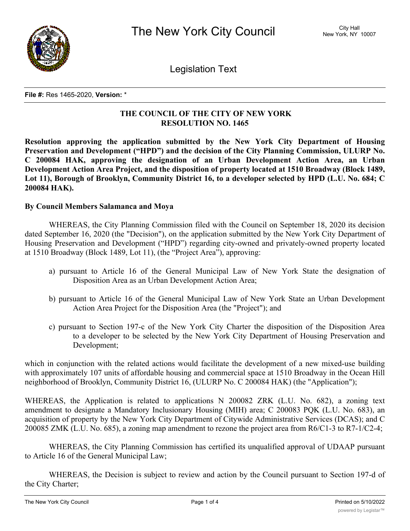

Legislation Text

**File #:** Res 1465-2020, **Version:** \*

# **THE COUNCIL OF THE CITY OF NEW YORK RESOLUTION NO. 1465**

**Resolution approving the application submitted by the New York City Department of Housing Preservation and Development ("HPD") and the decision of the City Planning Commission, ULURP No. C 200084 HAK, approving the designation of an Urban Development Action Area, an Urban Development Action Area Project, and the disposition of property located at 1510 Broadway (Block 1489,** Lot 11), Borough of Brooklyn, Community District 16, to a developer selected by HPD (L.U. No. 684; C **200084 HAK).**

## **By Council Members Salamanca and Moya**

WHEREAS, the City Planning Commission filed with the Council on September 18, 2020 its decision dated September 16, 2020 (the "Decision"), on the application submitted by the New York City Department of Housing Preservation and Development ("HPD") regarding city-owned and privately-owned property located at 1510 Broadway (Block 1489, Lot 11), (the "Project Area"), approving:

- a) pursuant to Article 16 of the General Municipal Law of New York State the designation of Disposition Area as an Urban Development Action Area;
- b) pursuant to Article 16 of the General Municipal Law of New York State an Urban Development Action Area Project for the Disposition Area (the "Project"); and
- c) pursuant to Section 197-c of the New York City Charter the disposition of the Disposition Area to a developer to be selected by the New York City Department of Housing Preservation and Development;

which in conjunction with the related actions would facilitate the development of a new mixed-use building with approximately 107 units of affordable housing and commercial space at 1510 Broadway in the Ocean Hill neighborhood of Brooklyn, Community District 16, (ULURP No. C 200084 HAK) (the "Application");

WHEREAS, the Application is related to applications N 200082 ZRK (L.U. No. 682), a zoning text amendment to designate a Mandatory Inclusionary Housing (MIH) area; C 200083 PQK (L.U. No. 683), an acquisition of property by the New York City Department of Citywide Administrative Services (DCAS); and C 200085 ZMK (L.U. No. 685), a zoning map amendment to rezone the project area from R6/C1-3 to R7-1/C2-4;

WHEREAS, the City Planning Commission has certified its unqualified approval of UDAAP pursuant to Article 16 of the General Municipal Law;

WHEREAS, the Decision is subject to review and action by the Council pursuant to Section 197-d of the City Charter;

 $W_{\rm eff}$  is letter dated September 18, 2020 and submitted to the Council on September 18, 2020, 2020, 2020, 2020, 2020, 2020, 2020, 2020, 2020, 2020, 2020, 2020, 2020, 2020, 2020, 2020, 2020, 2020, 2020, 2020, 2020, 2020,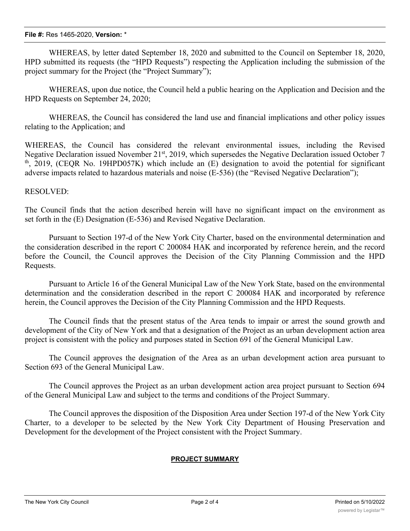#### **File #:** Res 1465-2020, **Version:** \*

WHEREAS, by letter dated September 18, 2020 and submitted to the Council on September 18, 2020, HPD submitted its requests (the "HPD Requests") respecting the Application including the submission of the project summary for the Project (the "Project Summary");

WHEREAS, upon due notice, the Council held a public hearing on the Application and Decision and the HPD Requests on September 24, 2020;

WHEREAS, the Council has considered the land use and financial implications and other policy issues relating to the Application; and

WHEREAS, the Council has considered the relevant environmental issues, including the Revised Negative Declaration issued November 21<sup>st</sup>, 2019, which supersedes the Negative Declaration issued October 7  $t<sup>th</sup>$ , 2019, (CEQR No. 19HPD057K) which include an (E) designation to avoid the potential for significant adverse impacts related to hazardous materials and noise (E-536) (the "Revised Negative Declaration");

## RESOLVED:

The Council finds that the action described herein will have no significant impact on the environment as set forth in the (E) Designation (E-536) and Revised Negative Declaration.

Pursuant to Section 197-d of the New York City Charter, based on the environmental determination and the consideration described in the report C 200084 HAK and incorporated by reference herein, and the record before the Council, the Council approves the Decision of the City Planning Commission and the HPD Requests.

Pursuant to Article 16 of the General Municipal Law of the New York State, based on the environmental determination and the consideration described in the report C 200084 HAK and incorporated by reference herein, the Council approves the Decision of the City Planning Commission and the HPD Requests.

The Council finds that the present status of the Area tends to impair or arrest the sound growth and development of the City of New York and that a designation of the Project as an urban development action area project is consistent with the policy and purposes stated in Section 691 of the General Municipal Law.

The Council approves the designation of the Area as an urban development action area pursuant to Section 693 of the General Municipal Law.

The Council approves the Project as an urban development action area project pursuant to Section 694 of the General Municipal Law and subject to the terms and conditions of the Project Summary.

The Council approves the disposition of the Disposition Area under Section 197-d of the New York City Charter, to a developer to be selected by the New York City Department of Housing Preservation and Development for the development of the Project consistent with the Project Summary.

### **PROJECT SUMMARY**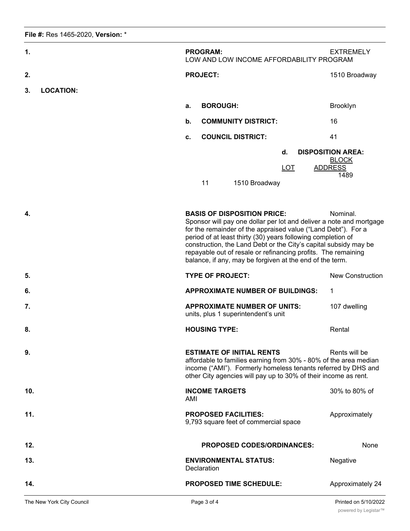| 1.  |                  | <b>PROGRAM:</b><br>LOW AND LOW INCOME AFFORDABILITY PROGRAM |                             |                                                                            | <b>EXTREMELY</b>                                                                                                                                                                                                                                                                                                               |                                                                                                                                                    |
|-----|------------------|-------------------------------------------------------------|-----------------------------|----------------------------------------------------------------------------|--------------------------------------------------------------------------------------------------------------------------------------------------------------------------------------------------------------------------------------------------------------------------------------------------------------------------------|----------------------------------------------------------------------------------------------------------------------------------------------------|
| 2.  |                  |                                                             | <b>PROJECT:</b>             |                                                                            |                                                                                                                                                                                                                                                                                                                                | 1510 Broadway                                                                                                                                      |
| 3.  | <b>LOCATION:</b> |                                                             |                             |                                                                            |                                                                                                                                                                                                                                                                                                                                |                                                                                                                                                    |
|     |                  | a.                                                          | <b>BOROUGH:</b>             |                                                                            |                                                                                                                                                                                                                                                                                                                                | Brooklyn                                                                                                                                           |
|     |                  | $\mathbf b$ .                                               |                             | <b>COMMUNITY DISTRICT:</b>                                                 |                                                                                                                                                                                                                                                                                                                                | 16                                                                                                                                                 |
|     |                  | c.                                                          |                             | <b>COUNCIL DISTRICT:</b>                                                   |                                                                                                                                                                                                                                                                                                                                | 41                                                                                                                                                 |
|     |                  |                                                             | 11                          | 1510 Broadway                                                              | d.<br><u>LOT</u>                                                                                                                                                                                                                                                                                                               | <b>DISPOSITION AREA:</b><br><b>BLOCK</b><br><b>ADDRESS</b><br>1489                                                                                 |
| 4.  |                  |                                                             |                             | <b>BASIS OF DISPOSITION PRICE:</b>                                         | for the remainder of the appraised value ("Land Debt"). For a<br>period of at least thirty (30) years following completion of<br>construction, the Land Debt or the City's capital subsidy may be<br>repayable out of resale or refinancing profits. The remaining<br>balance, if any, may be forgiven at the end of the term. | Nominal.<br>Sponsor will pay one dollar per lot and deliver a note and mortgage                                                                    |
| 5.  |                  |                                                             | <b>TYPE OF PROJECT:</b>     |                                                                            |                                                                                                                                                                                                                                                                                                                                | <b>New Construction</b>                                                                                                                            |
| 6.  |                  |                                                             |                             | <b>APPROXIMATE NUMBER OF BUILDINGS:</b>                                    |                                                                                                                                                                                                                                                                                                                                | 1                                                                                                                                                  |
| 7.  |                  |                                                             |                             | <b>APPROXIMATE NUMBER OF UNITS:</b><br>units, plus 1 superintendent's unit |                                                                                                                                                                                                                                                                                                                                | 107 dwelling                                                                                                                                       |
| 8.  |                  |                                                             | <b>HOUSING TYPE:</b>        |                                                                            |                                                                                                                                                                                                                                                                                                                                | Rental                                                                                                                                             |
| 9.  |                  |                                                             |                             | <b>ESTIMATE OF INITIAL RENTS</b>                                           | other City agencies will pay up to 30% of their income as rent.                                                                                                                                                                                                                                                                | Rents will be<br>affordable to families earning from 30% - 80% of the area median<br>income ("AMI"). Formerly homeless tenants referred by DHS and |
| 10. |                  | AMI                                                         | <b>INCOME TARGETS</b>       |                                                                            |                                                                                                                                                                                                                                                                                                                                | 30% to 80% of                                                                                                                                      |
| 11. |                  |                                                             | <b>PROPOSED FACILITIES:</b> | 9,793 square feet of commercial space                                      |                                                                                                                                                                                                                                                                                                                                | Approximately                                                                                                                                      |
| 12. |                  |                                                             |                             | <b>PROPOSED CODES/ORDINANCES:</b>                                          |                                                                                                                                                                                                                                                                                                                                | None                                                                                                                                               |
| 13. |                  |                                                             | Declaration                 | <b>ENVIRONMENTAL STATUS:</b>                                               |                                                                                                                                                                                                                                                                                                                                | Negative                                                                                                                                           |
| 14. |                  |                                                             |                             | <b>PROPOSED TIME SCHEDULE:</b>                                             |                                                                                                                                                                                                                                                                                                                                | Approximately 24                                                                                                                                   |